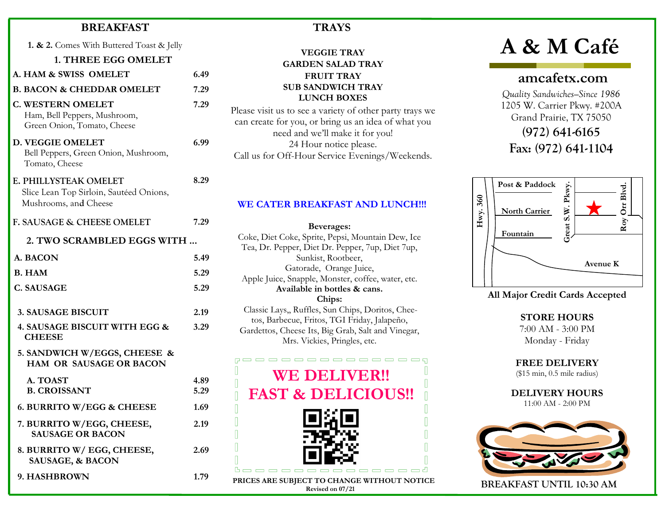### BREAKFAST

1. & 2. Comes With Buttered Toast & Jelly

1. THREE EGG OMELET

7.29

6.99

8.29

- A. HAM & SWISS OMELET 6.49 B. BACON & CHEDDAR OMELET 7.29
- C. WESTERN OMELET Ham, Bell Peppers, Mushroom, Green Onion, Tomato, Cheese
- D. VEGGIE OMELET Bell Peppers, Green Onion, Mushroom, Tomato, Cheese

| E. PHILLYSTEAK OMELET                   |  |
|-----------------------------------------|--|
| Slice Lean Top Sirloin, Sautéed Onions, |  |

Mushrooms, and Cheese

| F. SAUSAGE & CHEESE OMELET                                     | 7.29 |
|----------------------------------------------------------------|------|
| 2. TWO SCRAMBLED EGGS WITH                                     |      |
| A. BACON                                                       | 5.49 |
| <b>B.</b> HAM                                                  | 5.29 |
| C. SAUSAGE                                                     | 5.29 |
| <b>3. SAUSAGE BISCUIT</b>                                      | 2.19 |
| 4. SAUSAGE BISCUIT WITH EGG &<br><b>CHEESE</b>                 | 3.29 |
| 5. SANDWICH W/EGGS, CHEESE &<br><b>HAM OR SAUSAGE OR BACON</b> |      |
| A. TOAST                                                       | 4.89 |
| <b>B. CROISSANT</b>                                            | 5.29 |
| 6. BURRITO W/EGG & CHEESE                                      | 1.69 |
| 7. BURRITO W/EGG, CHEESE,<br><b>SAUSAGE OR BACON</b>           | 2.19 |
| 8. BURRITO W/ EGG, CHEESE,<br><b>SAUSAGE, &amp; BACON</b>      | 2.69 |
| <b>9. HASHBROWN</b>                                            | 1.79 |

# **TRAYS**

## VEGGIE TRAY GARDEN SALAD TRAY FRUIT TRAY SUB SANDWICH TRAY LUNCH BOXES

Please visit us to see a variety of other party trays we can create for you, or bring us an idea of what you need and we'll make it for you! 24 Hour notice please. Call us for Off-Hour Service Evenings/Weekends.

#### WE CATER BREAKFAST AND LUNCH!!!

Beverages: Coke, Diet Coke, Sprite, Pepsi, Mountain Dew, Ice Tea, Dr. Pepper, Diet Dr. Pepper, 7up, Diet 7up, Sunkist, Rootbeer, Gatorade, Orange Juice, Apple Juice, Snapple, Monster, coffee, water, etc. Available in bottles & cans. Chips: Classic Lays,, Ruffles, Sun Chips, Doritos, Cheetos, Barbecue, Fritos, TGI Friday, Jalapeño, Gardettos, Cheese Its, Big Grab, Salt and Vinegar,

Mrs. Vickies, Pringles, etc.



PRICES ARE SUBJECT TO CHANGE WITHOUT NOTICE Revised on 07/21

# A & M Café

# amcafetx.com

Quality Sandwiches—Since 1986 1205 W. Carrier Pkwy. #200A Grand Prairie, TX 75050

(972) 641-6165 Fax: (972) 641-1104



All Major Credit Cards Accepted

STORE HOURS 7:00 AM - 3:00 PM Monday - Friday

FREE DELIVERY (\$15 min, 0.5 mile radius)

DELIVERY HOURS 11:00 AM - 2:00 PM



BREAKFAST UNTIL 10:30 AM